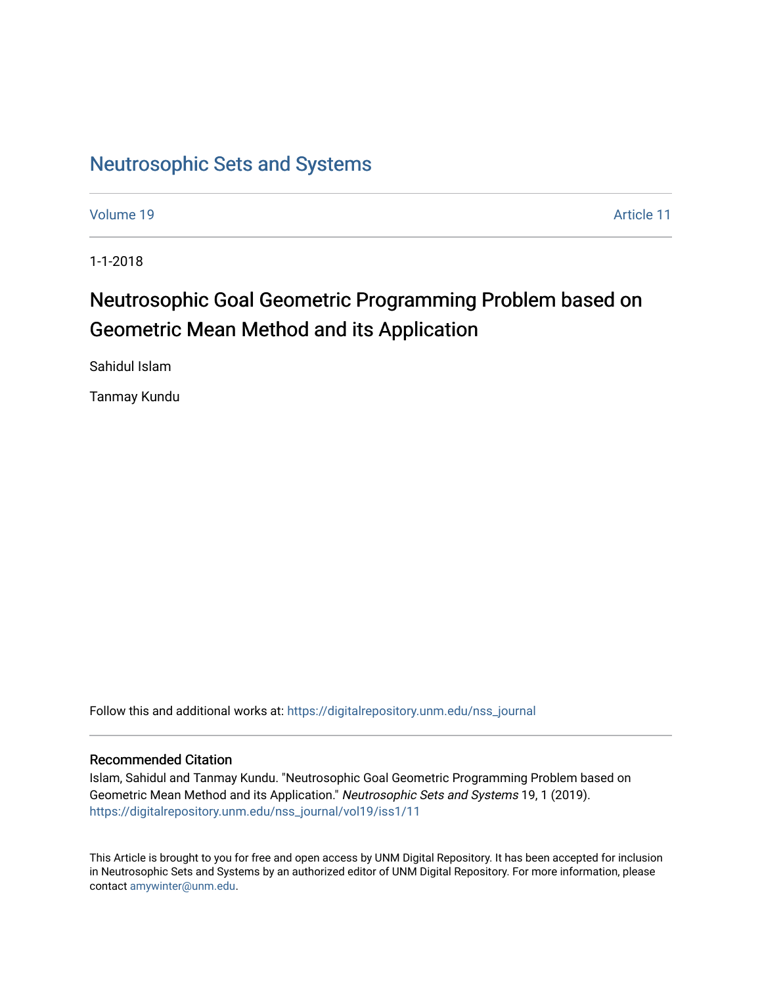# [Neutrosophic Sets and Systems](https://digitalrepository.unm.edu/nss_journal)

[Volume 19](https://digitalrepository.unm.edu/nss_journal/vol19) Article 11

1-1-2018

# Neutrosophic Goal Geometric Programming Problem based on Geometric Mean Method and its Application

Sahidul Islam

Tanmay Kundu

Follow this and additional works at: [https://digitalrepository.unm.edu/nss\\_journal](https://digitalrepository.unm.edu/nss_journal?utm_source=digitalrepository.unm.edu%2Fnss_journal%2Fvol19%2Fiss1%2F11&utm_medium=PDF&utm_campaign=PDFCoverPages) 

#### Recommended Citation

Islam, Sahidul and Tanmay Kundu. "Neutrosophic Goal Geometric Programming Problem based on Geometric Mean Method and its Application." Neutrosophic Sets and Systems 19, 1 (2019). [https://digitalrepository.unm.edu/nss\\_journal/vol19/iss1/11](https://digitalrepository.unm.edu/nss_journal/vol19/iss1/11?utm_source=digitalrepository.unm.edu%2Fnss_journal%2Fvol19%2Fiss1%2F11&utm_medium=PDF&utm_campaign=PDFCoverPages)

This Article is brought to you for free and open access by UNM Digital Repository. It has been accepted for inclusion in Neutrosophic Sets and Systems by an authorized editor of UNM Digital Repository. For more information, please contact [amywinter@unm.edu](mailto:amywinter@unm.edu).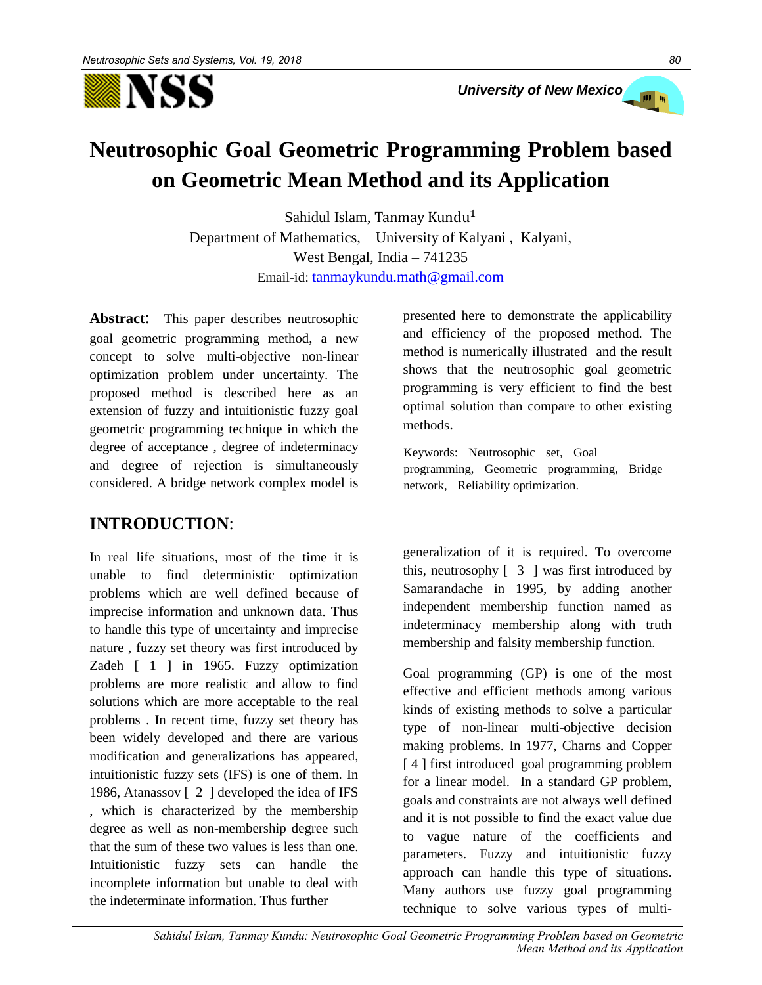

# **Neutrosophic Goal Geometric Programming Problem based on Geometric Mean Method and its Application**

Sahidul Islam, Tanmay Kundu Department of Mathematics, University of Kalyani, Kalyani, West Bengal, India – 741235 Email-id: tanmaykundu.math@gmail.com

**Abstract**: This paper describes neutrosophic goal geometric programming method, a new concept to solve multi-objective non-linear optimization problem under uncertainty. The proposed method is described here as an extension of fuzzy and intuitionistic fuzzy goal geometric programming technique in which the degree of acceptance , degree of indeterminacy and degree of rejection is simultaneously considered. A bridge network complex model is

# **INTRODUCTION**:

In real life situations, most of the time it is unable to find deterministic optimization problems which are well defined because of imprecise information and unknown data. Thus to handle this type of uncertainty and imprecise nature , fuzzy set theory was first introduced by Zadeh [ 1 ] in 1965. Fuzzy optimization problems are more realistic and allow to find solutions which are more acceptable to the real problems . In recent time, fuzzy set theory has been widely developed and there are various modification and generalizations has appeared, intuitionistic fuzzy sets (IFS) is one of them. In 1986, Atanassov [ 2 ] developed the idea of IFS , which is characterized by the membership degree as well as non-membership degree such that the sum of these two values is less than one. Intuitionistic fuzzy sets can handle the incomplete information but unable to deal with the indeterminate information. Thus further

presented here to demonstrate the applicability and efficiency of the proposed method. The method is numerically illustrated and the result shows that the neutrosophic goal geometric programming is very efficient to find the best optimal solution than compare to other existing methods.

Keywords: Neutrosophic set, Goal programming, Geometric programming, Bridge network, Reliability optimization.

generalization of it is required. To overcome this, neutrosophy  $\begin{bmatrix} 3 \end{bmatrix}$  was first introduced by Samarandache in 1995, by adding another independent membership function named as indeterminacy membership along with truth membership and falsity membership function.

Goal programming (GP) is one of the most effective and efficient methods among various kinds of existing methods to solve a particular type of non-linear multi-objective decision making problems. In 1977, Charns and Copper [4] first introduced goal programming problem for a linear model. In a standard GP problem, goals and constraints are not always well defined and it is not possible to find the exact value due to vague nature of the coefficients and parameters. Fuzzy and intuitionistic fuzzy approach can handle this type of situations. Many authors use fuzzy goal programming technique to solve various types of multi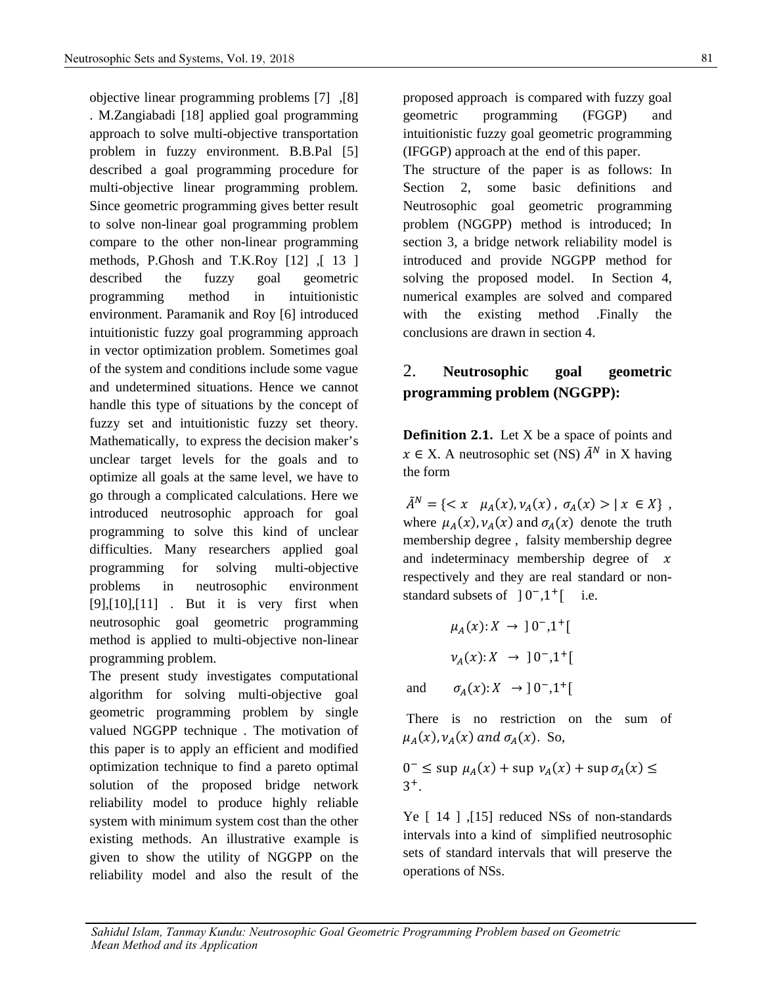objective linear programming problems [7] ,[8] . M.Zangiabadi [18] applied goal programming approach to solve multi-objective transportation problem in fuzzy environment. B.B.Pal [5] described a goal programming procedure for multi-objective linear programming problem. Since geometric programming gives better result to solve non-linear goal programming problem compare to the other non-linear programming methods, P.Ghosh and T.K.Roy [12] ,[ 13 ] described the fuzzy goal geometric programming method in intuitionistic environment. Paramanik and Roy [6] introduced intuitionistic fuzzy goal programming approach in vector optimization problem. Sometimes goal of the system and conditions include some vague and undetermined situations. Hence we cannot handle this type of situations by the concept of fuzzy set and intuitionistic fuzzy set theory. Mathematically, to express the decision maker's unclear target levels for the goals and to optimize all goals at the same level, we have to go through a complicated calculations. Here we introduced neutrosophic approach for goal programming to solve this kind of unclear difficulties. Many researchers applied goal programming for solving multi-objective problems in neutrosophic environment [9],[10],[11] . But it is very first when neutrosophic goal geometric programming method is applied to multi-objective non-linear programming problem.

The present study investigates computational algorithm for solving multi-objective goal geometric programming problem by single valued NGGPP technique . The motivation of this paper is to apply an efficient and modified optimization technique to find a pareto optimal solution of the proposed bridge network reliability model to produce highly reliable system with minimum system cost than the other existing methods. An illustrative example is given to show the utility of NGGPP on the reliability model and also the result of the

proposed approach is compared with fuzzy goal geometric programming (FGGP) and intuitionistic fuzzy goal geometric programming (IFGGP) approach at the end of this paper. The structure of the paper is as follows: In Section 2, some basic definitions and Neutrosophic goal geometric programming problem (NGGPP) method is introduced; In section 3, a bridge network reliability model is

introduced and provide NGGPP method for solving the proposed model. In Section 4, numerical examples are solved and compared with the existing method .Finally the conclusions are drawn in section 4.

## 2. **Neutrosophic goal geometric programming problem (NGGPP):**

**Definition 2.1.** Let X be a space of points and  $x \in X$ . A neutrosophic set (NS)  $\tilde{A}^N$  in X having the form

 $\tilde{A}^N = \{ \langle x \mu_A(x), \nu_A(x), \sigma_A(x) \rangle | x \in X \},$ where  $\mu_A(x)$ ,  $\nu_A(x)$  and  $\sigma_A(x)$  denote the truth membership degree , falsity membership degree and indeterminacy membership degree of  $x$ respectively and they are real standard or nonstandard subsets of  $] 0^-, 1^+[$  i.e.

$$
\mu_A(x): X \to 0^-, 1^+[
$$
  
\n $\nu_A(x): X \to 0^-, 1^+[$   
\nand  $\sigma_A(x): X \to 0^-, 1^+[$ 

 There is no restriction on the sum of  $\mu_A(x)$ ,  $\nu_A(x)$  and  $\sigma_A(x)$ . So,

$$
0^{-} \leq \sup \mu_A(x) + \sup \nu_A(x) + \sup \sigma_A(x) \leq 3^{+}.
$$

Ye [ 14 ], [15] reduced NSs of non-standards intervals into a kind of simplified neutrosophic sets of standard intervals that will preserve the operations of NSs.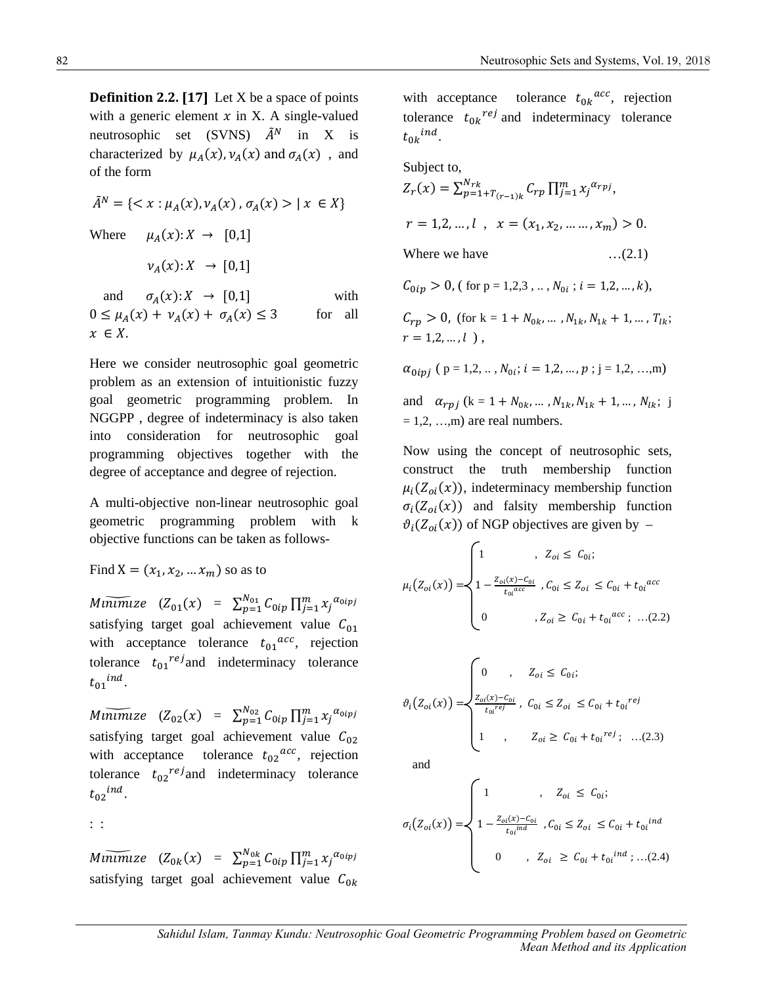**Definition 2.2.** [17] Let X be a space of points with a generic element  $x$  in X. A single-valued neutrosophic set (SVNS)  $\tilde{A}^N$  in X is characterized by  $\mu_A(x)$ ,  $\nu_A(x)$  and  $\sigma_A(x)$ , and of the form

$$
\tilde{A}^N = \{ \langle x : \mu_A(x), \nu_A(x), \sigma_A(x) \rangle \mid x \in X \}
$$
  
Where  $\mu_A(x): X \to [0,1]$   
 $\nu_A(x): X \to [0,1]$   
and  $\sigma_A(x): X \to [0,1]$  with

 $0 \leq \mu_A(x) + \nu_A(x) + \sigma_A(x) \leq 3$  for all  $x \in X$ .

Here we consider neutrosophic goal geometric problem as an extension of intuitionistic fuzzy goal geometric programming problem. In NGGPP , degree of indeterminacy is also taken into consideration for neutrosophic goal programming objectives together with the degree of acceptance and degree of rejection.

A multi-objective non-linear neutrosophic goal geometric programming problem with k objective functions can be taken as follows-

Find  $X = (x_1, x_2, ... x_m)$  so as to

 $M$ inimize  $(Z_{01}(x) = \sum_{p=1}^{N_{01}} C_{0ip} \prod_{j=1}^{m} x_j^{\alpha_{0ipj}}$ satisfying target goal achievement value  $C_{01}$ with acceptance tolerance  $t_{01}^{acc}$ , rejection tolerance  $t_{01}^{ref}$  and indeterminacy tolerance  $t_{01}$ <sup>ind</sup>.

 $M$ inimize  $(Z_{02}(x) = \sum_{p=1}^{N_{02}} C_{0ip} \prod_{j=1}^{m} x_j^{\alpha_{0ipj}}$ satisfying target goal achievement value  $C_{02}$ with acceptance tolerance  $t_{02}^{acc}$ , rejection tolerance  $t_{02}$ <sup>rej</sup> and indeterminacy tolerance  $t_{02}$ <sup>ind</sup>.

: :

 $M$ inimize  $(Z_{0k}(x) = \sum_{p=1}^{N_{0k}} C_{0ip} \prod_{j=1}^{m} x_j^{\alpha_{0ipj}}$ satisfying target goal achievement value  $C_{0k}$  with acceptance tolerance  $t_{0k}$ <sup>*acc*</sup>, rejection tolerance  $t_{0k}^{ref}$  and indeterminacy tolerance  $t_{0k}$ <sup>ind</sup>.

Subject to,  
\n
$$
Z_r(x) = \sum_{p=1+T_{(r-1)k}}^{N_{rk}} C_{rp} \prod_{j=1}^{m} x_j^{\alpha_{rpj}},
$$
\n
$$
r = 1, 2, ..., l, \quad x = (x_1, x_2, ..., x_m) > 0.
$$
\nWhere we have\n...(2.1)\n
$$
C_{0ip} > 0, \text{ (for } p = 1, 2, 3, ..., N_{0i}; i = 1, 2, ..., k),
$$
\n
$$
C_{rp} > 0, \text{ (for } k = 1 + N_{0k}, ..., N_{1k}, N_{1k} + 1, ..., T_{lk};
$$
\n
$$
r = 1, 2, ..., l,
$$

 $\alpha_{0ipj}$  ( p = 1,2, ..,  $N_{0i}$ ;  $i = 1,2, ..., p$  ; j = 1,2, …,m)

and  $\alpha_{rpj}$  (k = 1 +  $N_{0k}$ , ...,  $N_{1k}$ ,  $N_{1k}$  + 1, ...,  $N_{lk}$ ; j  $= 1, 2, \ldots, m$  are real numbers.

Now using the concept of neutrosophic sets, construct the truth membership function  $\mu_i(Z_{oi}(x))$ , indeterminacy membership function  $\sigma_i(Z_{oi}(x))$  and falsity membership function  $\vartheta_i(Z_{oi}(x))$  of NGP objectives are given by –

$$
\mu_i\big(Z_{oi}(x)\big) = \begin{cases}\n1 & , Z_{oi} \le C_{oi}; \\
1 - \frac{Z_{oi}(x) - C_{oi}}{t_{oi}^{acc}} & , C_{oi} \le Z_{oi} \le C_{oi} + t_{oi}^{acc} \\
0 & , Z_{oi} \ge C_{oi} + t_{oi}^{acc}; \dots (2.2)\n\end{cases}
$$

$$
\vartheta_i\big(Z_{oi}(x)\big) = \begin{cases}\n0 & , & Z_{oi} \le C_{oi}; \\
\frac{Z_{oi}(x) - C_{oi}}{t_{oi}^{req}} & , C_{oi} \le Z_{oi} \le C_{oi} + t_{oi}^{ref} \\
1 & , & Z_{oi} \ge C_{oi} + t_{oi}^{ref}; \dots (2.3)\n\end{cases}
$$

and

$$
\sigma_i(Z_{oi}(x)) = \begin{cases}\n1 & , Z_{oi} \le C_{0i}; \\
1 - \frac{Z_{oi}(x) - C_{oi}}{t_{oi}^{ind}} & , C_{0i} \le Z_{oi} \le C_{0i} + t_{oi}^{ind} \\
0 & , Z_{oi} \ge C_{0i} + t_{oi}^{ind}; \dots (2.4)\n\end{cases}
$$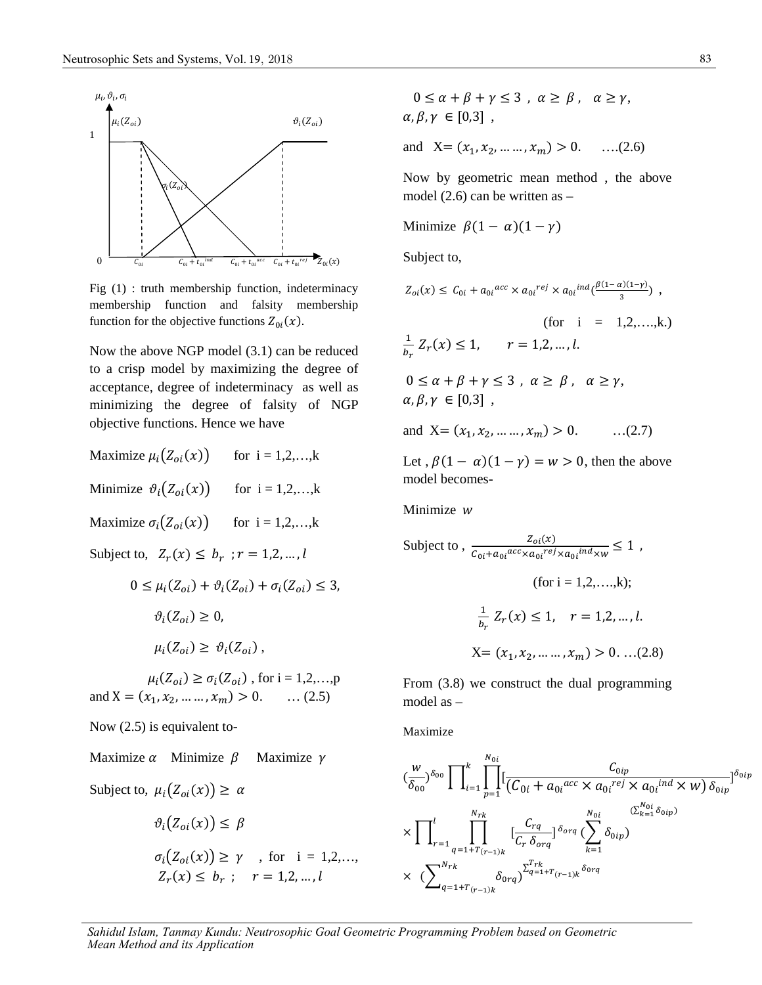

Fig (1) : truth membership function, indeterminacy membership function and falsity membership function for the objective functions  $Z_{0i}(x)$ .

Now the above NGP model (3.1) can be reduced to a crisp model by maximizing the degree of acceptance, degree of indeterminacy as well as minimizing the degree of falsity of NGP objective functions. Hence we have

Maximize  $\mu_i(Z_{oi}(x))$  for i = 1,2,...,k Minimize  $\vartheta_i(Z_{oi}(x))$  for i = 1,2,...,k Maximize  $\sigma_i(Z_{oi}(x))$  for i = 1,2,...,k

Subject to,  $Z_r(x) \leq b_r$ ;  $r = 1,2,...,l$ 

$$
0 \le \mu_i(Z_{oi}) + \vartheta_i(Z_{oi}) + \sigma_i(Z_{oi}) \le 3,
$$
  
\n
$$
\vartheta_i(Z_{oi}) \ge 0,
$$
  
\n
$$
\mu_i(Z_{oi}) \ge \vartheta_i(Z_{oi}),
$$

 $\mu_i(Z_{oi}) \ge \sigma_i(Z_{oi})$ , for i = 1,2,...,p and  $X = (x_1, x_2, ..., x_m) > 0.$  ... (2.5)

Now (2.5) is equivalent to-

Maximize  $\alpha$  Minimize  $\beta$  Maximize  $\gamma$ 

Subject to, 
$$
\mu_i(Z_{oi}(x)) \ge \alpha
$$
  
\n $\vartheta_i(Z_{oi}(x)) \le \beta$   
\n $\sigma_i(Z_{oi}(x)) \ge \gamma$ , for  $i = 1,2,...,$   
\n $Z_r(x) \le b_r$ ;  $r = 1,2,...,l$ 

$$
0 \le \alpha + \beta + \gamma \le 3 , \alpha \ge \beta , \alpha \ge \gamma,
$$
  

$$
\alpha, \beta, \gamma \in [0,3] ,
$$

and  $X = (x_1, x_2, ..., x_m) > 0.$  ...(2.6)

Now by geometric mean method , the above model (2.6) can be written as –

Minimize 
$$
\beta(1-\alpha)(1-\gamma)
$$

Subject to,

$$
Z_{oi}(x) \le C_{0i} + a_{0i}^{acc} \times a_{0i}^{rel} \times a_{0i}^{ind}(\frac{\beta(1-\alpha)(1-\gamma)}{3}),
$$
  
\n(for i = 1,2,...,k.)  
\n
$$
\frac{1}{b_r} Z_r(x) \le 1, \quad r = 1,2,...,l.
$$
  
\n
$$
0 \le \alpha + \beta + \gamma \le 3, \quad \alpha \ge \beta, \quad \alpha \ge \gamma,
$$
  
\n
$$
\alpha, \beta, \gamma \in [0,3],
$$
  
\nand X = (x<sub>1</sub>, x<sub>2</sub>, ..., x<sub>m</sub>) > 0. ...(2.7)

Let ,  $\beta(1 - \alpha)(1 - \gamma) = w > 0$ , then the above model becomes-

Minimize w

Subject to, 
$$
\frac{Z_{oi}(x)}{C_{oi} + a_{oi}^{acc} \times a_{oi}^{rel} \times a_{oi}^{ind} \times w} \le 1,
$$
  
(for i = 1,2,...,k);  

$$
\frac{1}{b_r} Z_r(x) \le 1, \quad r = 1,2,...,l.
$$

$$
X = (x_1, x_2, ..., x_m) > 0, ... (2.8)
$$

From (3.8) we construct the dual programming model as –

Maximize

$$
\begin{split}\n&(\frac{w}{\delta_{00}})^{\delta_{00}} \prod \Big|_{i=1}^{k} \prod_{p=1}^{N_{0i}} \Big[ \frac{C_{0ip}}{(C_{0i} + a_{0i} \cdot acc \times a_{0i} \cdot ref) \times a_{0i} \cdot ind \times w)} \delta_{0ip} \Big]^{\delta_{0ip}} \\
&\times \prod \Big|_{r=1}^{l} \prod_{q=1+T}^{N_{rk}} \Big[ \frac{C_{rq}}{C_{r} \delta_{org}} \Big]^{\delta_{org}} \Big( \sum_{k=1}^{N_{0i}} \delta_{0ip} \Big) \\
&\times \Big( \sum_{q=1+T_{(r-1)k}}^{N_{rk}} \delta_{0rq} \Big)^{\sum_{q=1+T_{(r-1)k}}^{T_{rk}} \delta_{0rq}}\n\Big]\n\end{split}
$$

*Sahidul Islam, Tanmay Kundu: Neutrosophic Goal Geometric Programming Problem based on Geometric Mean Method and its Application*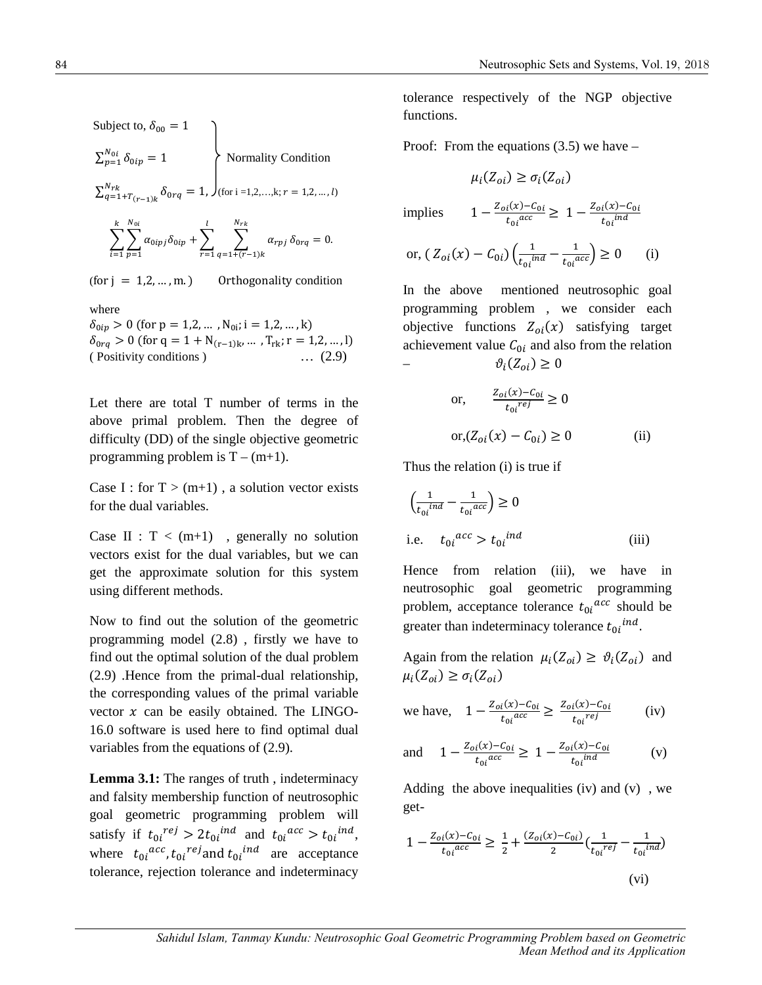Subject to,  $\delta_{00} = 1$ 

$$
\sum_{p=1}^{N_{0i}} \delta_{0ip} = 1
$$
 Normality Condition

 $\sum_{q=1+T}^{N_{rk}} \delta_{0rq} = 1, \int_{\text{ffor i =1,2,...,k; } r=1,2,...,l)}$ 

$$
\sum_{i=1}^k \sum_{p=1}^{N_{0i}} \alpha_{0ipj} \delta_{0ip} + \sum_{r=1}^l \sum_{q=1+(r-1)k}^{N_{rk}} \alpha_{rpj} \delta_{0rq} = 0.
$$

(for  $j = 1, 2, ..., m$ .) Orthogonality condition

where

 $\delta_{0ip} > 0$  (for  $p = 1, 2, ...$ ,  $N_{0i}$ ; i = 1,2, ..., k)  $\delta_{0rq} > 0$  (for q = 1 + N<sub>(r-1)k</sub>, ..., T<sub>rk</sub>; r = 1,2, ..., l) ( Positivity conditions ) … (2.9)

Let there are total T number of terms in the above primal problem. Then the degree of difficulty (DD) of the single objective geometric programming problem is  $T - (m+1)$ .

Case I : for  $T > (m+1)$ , a solution vector exists for the dual variables.

Case II :  $T < (m+1)$ , generally no solution vectors exist for the dual variables, but we can get the approximate solution for this system using different methods.

Now to find out the solution of the geometric programming model (2.8) , firstly we have to find out the optimal solution of the dual problem (2.9) .Hence from the primal-dual relationship, the corresponding values of the primal variable vector  $x$  can be easily obtained. The LINGO-16.0 software is used here to find optimal dual variables from the equations of (2.9).

**Lemma 3.1:** The ranges of truth , indeterminacy and falsity membership function of neutrosophic goal geometric programming problem will satisfy if  $t_{0i}^{ref} > 2t_{0i}^{ind}$  and  $t_{0i}^{acc} > t_{0i}^{ind}$ , where  $t_{0i}^{acc}$ ,  $t_{0i}^{ref}$  and  $t_{0i}^{ind}$  are acceptance tolerance, rejection tolerance and indeterminacy

tolerance respectively of the NGP objective functions.

Proof: From the equations  $(3.5)$  we have –

$$
\mu_i(Z_{oi}) \ge \sigma_i(Z_{oi})
$$

implies  $1 - \frac{Z_{oi}(x) - C_{oi}}{t_{oi}^{acc}} \geq 1 - \frac{Z_{oi}(x) - C_{oi}}{t_{oi}^{ind}}$ 

or, 
$$
(Z_{oi}(x) - C_{0i}) \left( \frac{1}{t_{oi}^{ind}} - \frac{1}{t_{oi}^{acc}} \right) \ge 0
$$
 (i)

In the above mentioned neutrosophic goal programming problem , we consider each objective functions  $Z_{oi}(x)$  satisfying target achievement value  $C_{0i}$  and also from the relation  $\partial_i$  $\vartheta_i(Z_{oi}) \geq 0$ 

or, 
$$
\frac{Z_{oi}(x) - C_{oi}}{t_{oi}^{req}} \ge 0
$$

$$
or, (Z_{oi}(x) - C_{oi}) \ge 0
$$
 (ii)

Thus the relation (i) is true if

$$
\left(\frac{1}{t_{0i}^{ind}} - \frac{1}{t_{0i}^{acc}}\right) \ge 0
$$
\ni.e.

\n
$$
t_{0i}^{acc} > t_{0i}^{ind}
$$
\n(iii)

Hence from relation (iii), we have in neutrosophic goal geometric programming problem, acceptance tolerance  $t_{0i}$ <sup>acc</sup> should be greater than indeterminacy tolerance  $t_{0i}^{ind}$ .

Again from the relation  $\mu_i(Z_{oi}) \geq \vartheta_i(Z_{oi})$  and  $\mu_i(Z_{oi}) \geq \sigma_i(Z_{oi})$ 

we have, 
$$
1 - \frac{Z_{oi}(x) - C_{0i}}{t_{oi}^{acc}} \ge \frac{Z_{oi}(x) - C_{0i}}{t_{oi}^{ref}}
$$
 (iv)

and 
$$
1 - \frac{Z_{oi}(x) - C_{oi}}{t_{oi}^{acc}} \ge 1 - \frac{Z_{oi}(x) - C_{oi}}{t_{oi}^{ind}}
$$
 (v)

Adding the above inequalities (iv) and  $(v)$ , we get-

$$
1 - \frac{Z_{oi}(x) - C_{oi}}{t_{oi}^{acc}} \ge \frac{1}{2} + \frac{(Z_{oi}(x) - C_{oi})}{2} \left(\frac{1}{t_{oi}^{rel}} - \frac{1}{t_{oi}^{ind}}\right)
$$
  
(vi)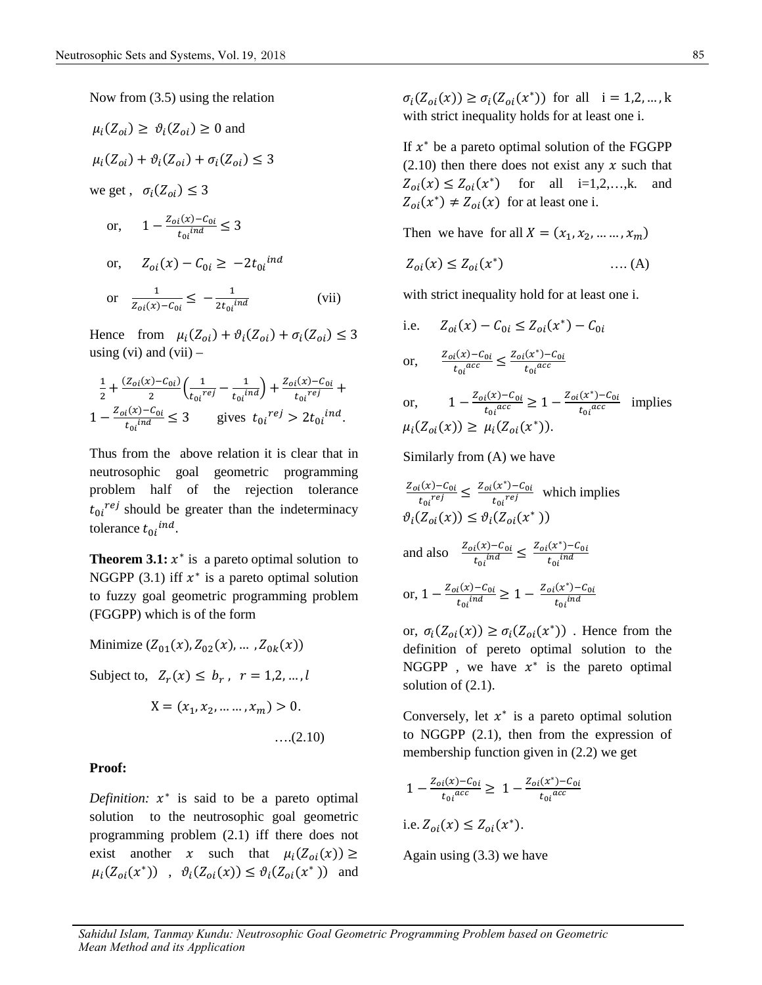Now from (3.5) using the relation

$$
\mu_i(Z_{oi}) \geq \vartheta_i(Z_{oi}) \geq 0
$$
 and  
\n $\mu_i(Z_{oi}) + \vartheta_i(Z_{oi}) + \sigma_i(Z_{oi}) \leq$   
\nwe get,  $\sigma_i(Z_{oi}) \leq 3$ 

or, 
$$
1 - \frac{Z_{oi}(x) - C_{oi}}{t_{oi}^{ind}} \le 3
$$
  
or, 
$$
Z_{oi}(x) - C_{oi} \ge -2t_{oi}^{ind}
$$
  
or 
$$
\frac{1}{Z_{oi}(x) - C_{oi}} \le -\frac{1}{2t_{oi}^{ind}}
$$
 (vii)

9\_= ≤ 3

Hence from  $\mu_i(Z_{oi}) + \vartheta_i(Z_{oi}) + \sigma_i(Z_{oi}) \leq 3$ using (vi) and (vii)  $-$ 

$$
\frac{1}{2} + \frac{(Z_{oi}(x) - C_{oi})}{2} \left( \frac{1}{t_{oi}^{req}} - \frac{1}{t_{oi}^{ind}} \right) + \frac{Z_{oi}(x) - C_{oi}}{t_{oi}^{req}} + \frac{1}{t_{oi}^{req}} - \frac{Z_{oi}(x) - C_{oi}}{t_{oi}^{ind}} \le 3
$$
 gives  $t_{0i}^{ref} > 2t_{0i}^{ind}$ .

Thus from the above relation it is clear that in neutrosophic goal geometric programming problem half of the rejection tolerance  $t_{0i}^{ref}$  should be greater than the indeterminacy tolerance  $t_{0i}$ <sup>ind</sup>.

**Theorem 3.1:**  $x^*$  is a pareto optimal solution to NGGPP (3.1) iff  $x^*$  is a pareto optimal solution to fuzzy goal geometric programming problem (FGGPP) which is of the form

Minimize  $(Z_{01}(x), Z_{02}(x), \dots, Z_{0k}(x))$ 

Subject to,  $Z_r(x) \leq b_r$ ,  $r = 1,2,...,l$  solution of (2.1)

$$
X = (x_1, x_2, \dots, x_m) > 0.
$$

$$
\ldots (2.10)
$$

#### **Proof:**

*Definition:*  $x^*$  is said to be a pareto optimal solution to the neutrosophic goal geometric programming problem (2.1) iff there does not exist another x such that  $\mu_i(Z_{oi}(x)) \ge$  $\mu_i(Z_{oi}(x^*))$ ,  $\vartheta_i(Z_{oi}(x)) \leq \vartheta_i(Z_{oi}(x^*))$  and  $\sigma_i(Z_{oi}(x)) \ge \sigma_i(Z_{oi}(x^*))$  for all  $i = 1, 2, ..., k$ with strict inequality holds for at least one i.

If  $x^*$  be a pareto optimal solution of the FGGPP  $(2.10)$  then there does not exist any x such that  $Z_{oi}(x) \le Z_{oi}(x^*)$  for all i=1,2,...,k. and  $Z_{oi}(x^*) \neq Z_{oi}(x)$  for at least one i.

Then we have for all  $X = (x_1, x_2, ..., x_m)$ 

$$
Z_{oi}(x) \le Z_{oi}(x^*) \qquad \qquad \dots (A)
$$

with strict inequality hold for at least one i.

i.e. 
$$
Z_{oi}(x) - C_{0i} \le Z_{oi}(x^*) - C_{0i}
$$

or, 
$$
\frac{Z_{oi}(x) - C_{oi}}{t_{oi}^{acc}} \le \frac{Z_{oi}(x^*) - C_{oi}}{t_{oi}^{acc}}
$$

or, 
$$
1 - \frac{Z_{oi}(x) - C_{oi}}{t_{oi}^{acc}} \ge 1 - \frac{Z_{oi}(x^*) - C_{oi}}{t_{oi}^{acc}}
$$
 implies  
\n $\mu_i(Z_{oi}(x)) \ge \mu_i(Z_{oi}(x^*)).$ 

Similarly from (A) we have

 $z_{oi}(x) - C_{0i}$  $\frac{d_i(x) - C_{0i}}{t_{0i}^{ref}} \leq \frac{Z_{oi}(x^*) - C_{0i}}{t_{0i}^{ref}}$  $\frac{(x^2 - C_0)}{t_0 i^{rej}}$  which implies  $\vartheta_i(Z_{oi}(x)) \leq \vartheta_i(Z_{oi}(x^*))$ and also  $\frac{Z_{oi}(x) - C_{oi}}{t_{oi}^{ind}} \le \frac{Z_{oi}(x^*) - C_{oi}}{t_{oi}^{ind}}$  $t_{0i}$ ind or,  $1 - \frac{Z_{oi}(x) - C_{oi}}{t_{oi}^{ind}} \ge 1 - \frac{Z_{oi}(x^*) - C_{oi}}{t_{oi}^{ind}}$  $t_{0i}$ ind

or,  $\sigma_i(Z_{oi}(x)) \ge \sigma_i(Z_{oi}(x^*))$ . Hence from the definition of pereto optimal solution to the NGGPP, we have  $x^*$  is the pareto optimal solution of  $(2.1)$ .

Conversely, let  $x^*$  is a pareto optimal solution to NGGPP (2.1), then from the expression of membership function given in (2.2) we get

$$
1 - \frac{Z_{oi}(x) - C_{oi}}{t_{oi}^{acc}} \ge 1 - \frac{Z_{oi}(x^{*}) - C_{oi}}{t_{oi}^{acc}}
$$
  
i.e.  $Z_{oi}(x) \le Z_{oi}(x^{*}).$ 

Again using (3.3) we have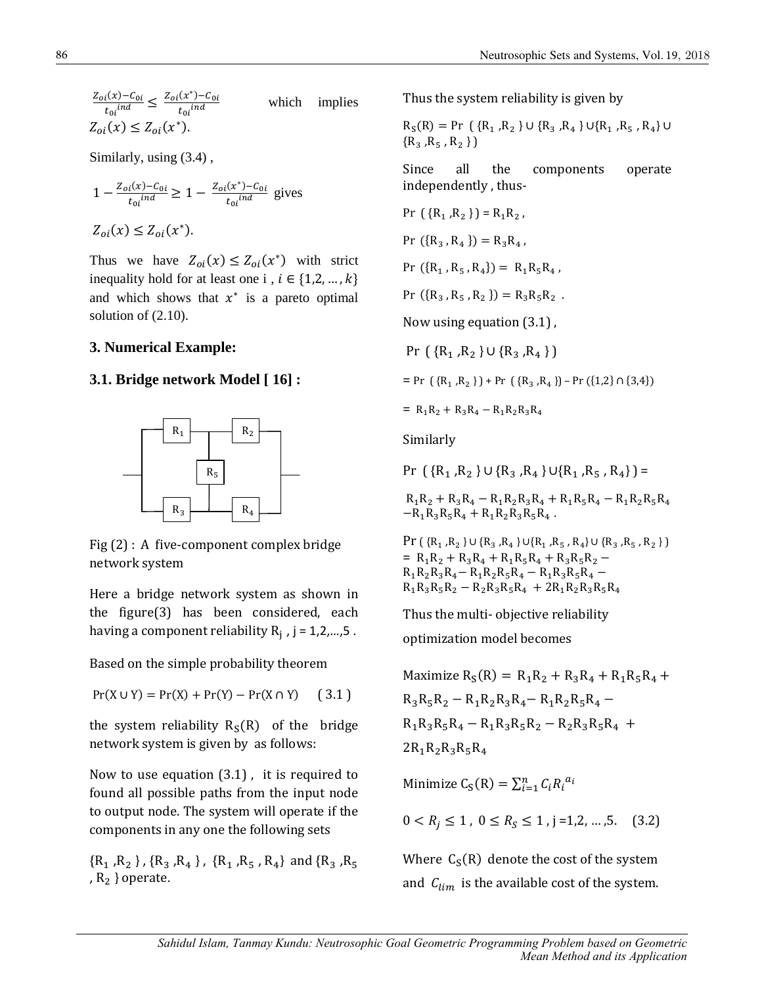$$
\frac{Z_{oi}(x) - C_{oi}}{t_{oi}^{ind}} \le \frac{Z_{oi}(x^*) - C_{oi}}{t_{oi}^{ind}}
$$
 which implies  

$$
Z_{oi}(x) \le Z_{oi}(x^*).
$$

Similarly, using (3.4) ,

$$
1 - \frac{Z_{oi}(x) - C_{0i}}{t_{oi}^{ind}} \ge 1 - \frac{Z_{oi}(x^*) - C_{0i}}{t_{oi}^{ind}}
$$
 gives

 $Z_{oi}(x) \leq Z_{oi}(x^*).$ 

Thus we have  $Z_{oi}(x) \leq Z_{oi}(x^*)$  with strict inequality hold for at least one i ,  $i \in \{1,2,...,k\}$ and which shows that  $x^*$  is a pareto optimal solution of (2.10).

## **3. Numerical Example:**

### **3.1. Bridge network Model [ 16] :**



Fig (2) : A five-component complex bridge network system

Here a bridge network system as shown in the figure(3) has been considered, each having a component reliability  $R_j$  , j = 1,2,...,5 .

Based on the simple probability theorem

$$
Pr(X \cup Y) = Pr(X) + Pr(Y) - Pr(X \cap Y) \quad (3.1)
$$

the system reliability  $R_S(R)$  of the bridge network system is given by as follows:

Now to use equation (3.1) , it is required to found all possible paths from the input node to output node. The system will operate if the components in any one the following sets

 $\{R_1, R_2\}$ ,  $\{R_3, R_4\}$ ,  $\{R_1, R_5, R_4\}$  and  $\{R_3, R_5\}$ ,  $R_2$  } operate.

Thus the system reliability is given by

$$
R_S(R) = Pr \{ R_1, R_2 \} \cup \{ R_3, R_4 \} \cup \{ R_1, R_5, R_4 \} \cup \{ R_3, R_5, R_2 \} \}
$$

Since all the components operate independently , thus-

Pr 
$$
({R_1, R_2})
$$
 = R<sub>1</sub>R<sub>2</sub>,  
\nPr  $({R_3, R_4})$  = R<sub>3</sub>R<sub>4</sub>,  
\nPr  $({R_1, R_5, R_4})$  = R<sub>1</sub>R<sub>5</sub>R<sub>4</sub>,  
\nPr  $({R_3, R_5, R_2})$  = R<sub>3</sub>R<sub>5</sub>R<sub>2</sub>.  
\nNow using equation (3.1),  
\nPr  $({R_1, R_2} \cup {R_3, R_4})$ 

 $= Pr \left( {R_1, R_2 } \right) + Pr \left( {R_3, R_4 } \right) - Pr \left( {1,2} \cap {3,4} \right)$ 

 $= R_1R_2 + R_3R_4 - R_1R_2R_3R_4$ 

Similarly

Pr  $({R_1, R_2} \cup {R_3, R_4} \cup {R_1, R_5, R_4}) =$ 

 $R_1R_2 + R_3R_4 - R_1R_2R_3R_4 + R_1R_5R_4 - R_1R_2R_5R_4$  $-R_1R_3R_5R_4 + R_1R_2R_3R_5R_4$ .

 $Pr(\{R_1, R_2\} \cup \{R_3, R_4\} \cup \{R_1, R_5, R_4\} \cup \{R_3, R_5, R_2\})$  $= R_1R_2 + R_3R_4 + R_1R_5R_4 + R_3R_5R_2 R_1R_2R_3R_4 - R_1R_2R_5R_4 - R_1R_3R_5R_4 R_1R_3R_5R_2 - R_2R_3R_5R_4 + 2R_1R_2R_3R_5R_4$ 

Thus the multi- objective reliability

optimization model becomes

Maximize  $R_S(R) = R_1R_2 + R_3R_4 + R_1R_5R_4 +$  $R_3R_5R_2 - R_1R_2R_3R_4 - R_1R_2R_5R_4 R_1R_3R_5R_4 - R_1R_3R_5R_2 - R_2R_3R_5R_4 +$  $2R_1R_2R_3R_5R_4$ 

Minimize  $C_S(R) = \sum_{i=1}^n C_i R_i^{a_i}$ 

 $0 < R_j \le 1$ ,  $0 \le R_S \le 1$ ,  $j = 1, 2, ..., 5$ . (3.2)

Where  $C_S(R)$  denote the cost of the system and  $C_{lim}$  is the available cost of the system.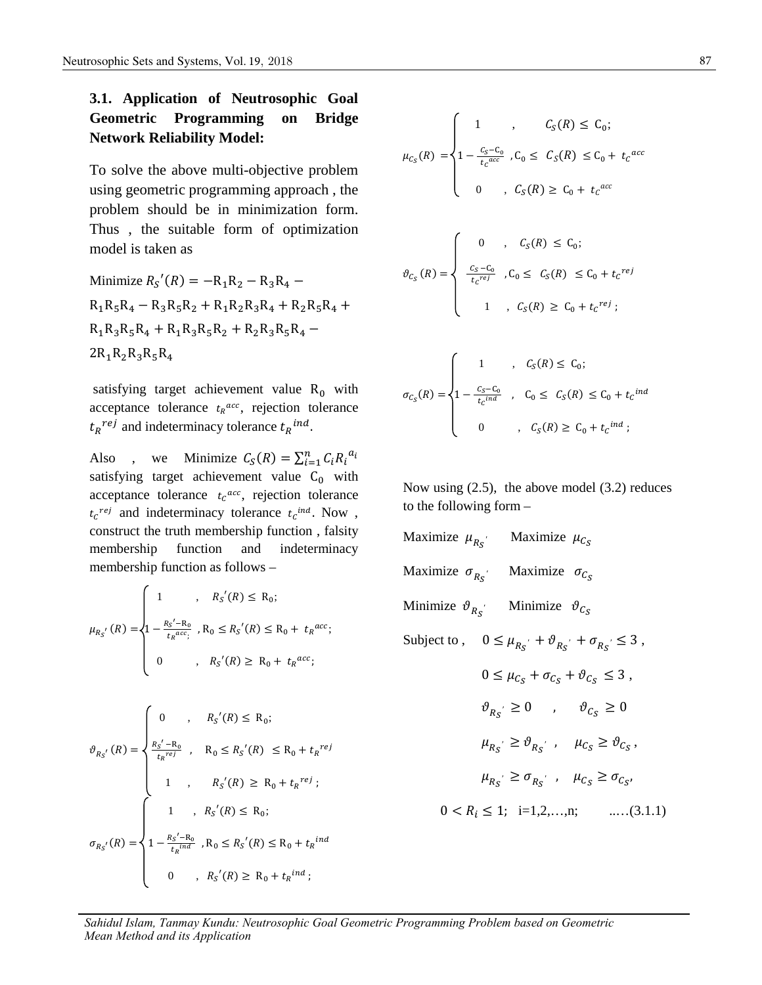## **3.1. Application of Neutrosophic Goal Geometric Programming on Bridge Network Reliability Model:**

To solve the above multi-objective problem using geometric programming approach , the problem should be in minimization form. Thus , the suitable form of optimization model is taken as

Minimize  $R_{S}'(R) = -R_1R_2 - R_3R_4 R_1R_5R_4 - R_3R_5R_2 + R_1R_2R_3R_4 + R_2R_5R_4 +$  $R_1R_3R_5R_4 + R_1R_3R_5R_2 + R_2R_3R_5R_4 2R_1R_2R_3R_5R_4$ 

satisfying target achievement value  $R_0$  with acceptance tolerance  $t<sub>R</sub>^{acc}$ , rejection tolerance  $t_R$ <sup>rej</sup> and indeterminacy tolerance  $t_R$ <sup>ind</sup>

Also, we Minimize  $C_S(R) = \sum_{i=1}^n C_i R_i^{a_i}$ satisfying target achievement value  $C_0$  with acceptance tolerance  $t_c$ <sup>acc</sup>, rejection tolerance</sup>  $t_c^{ref}$  and indeterminacy tolerance  $t_c^{ind}$ . Now, construct the truth membership function , falsity membership function and indeterminacy membership function as follows –

$$
\mu_{R_{S}}(R) = \begin{cases}\n1 & , R_{S}(R) \leq R_{0}; \\
1 - \frac{R_{S}^{\prime} - R_{0}}{t_{R}^{acc}} & , R_{0} \leq R_{S}^{\prime}(R) \leq R_{0} + t_{R}^{acc}; \\
0 & , R_{S}^{\prime}(R) \geq R_{0} + t_{R}^{acc};\n\end{cases}
$$

$$
\vartheta_{R_{S}}(R) = \begin{cases}\n0 & , & R_{S}(R) \leq R_{0}; \\
\frac{R_{S}^{\prime} - R_{0}}{t_{R}^{ref}} & , & R_{0} \leq R_{S}^{\prime}(R) \leq R_{0} + t_{R}^{ref}; \\
1 & , & R_{S}^{\prime}(R) \geq R_{0} + t_{R}^{ref};\n\end{cases}
$$
\n
$$
\sigma_{R_{S}}(R) = \begin{cases}\n1 & , R_{S}^{\prime}(R) \leq R_{0}; \\
1 - \frac{R_{S}^{\prime} - R_{0}}{t_{R}^{ind}} & , R_{0} \leq R_{S}^{\prime}(R) \leq R_{0} + t_{R}^{ind}; \\
0 & , R_{S}^{\prime}(R) \geq R_{0} + t_{R}^{ind};\n\end{cases}
$$

$$
\mu_{c_S}(R) = \begin{cases}\n1 & , & C_S(R) \le C_0; \\
1 - \frac{c_S - c_0}{t_c^{acc}}, C_0 \le C_S(R) \le C_0 + t_c^{acc} \\
0 & , C_S(R) \ge C_0 + t_c^{acc} \\
\theta_{c_S}(R) = \begin{cases}\n0 & , & C_S(R) \le C_0; \\
\frac{c_S - c_0}{t_c^{ref}}, C_0 \le C_S(R) \le C_0 + t_c^{ref} \\
1 & , & C_S(R) \ge C_0 + t_c^{ref};\n\end{cases}\n\end{cases}
$$

$$
R_0 \text{ with} \qquad \sigma_{C_S}(R) = \begin{cases} 1 - \frac{C_S - C_0}{t_C^{ind}} & , \quad C_0 \le C_S(R) \le C_0 + t_C^{ind} \\ 0 & , \quad C_S(R) \ge C_0 + t_C^{ind} \end{cases}
$$

Now using (2.5), the above model (3.2) reduces to the following form –

Maximize 
$$
\mu_{R_S}
$$
 Maximize  $\mu_{C_S}$   
\nMaximize  $\sigma_{R_S}$  Maximize  $\sigma_{C_S}$   
\nMinimize  $\vartheta_{R_S}$  Minimize  $\vartheta_{C_S}$   
\nSubject to,  $0 \le \mu_{R_S} + \vartheta_{R_S} + \sigma_{R_S} \le 3$ ,

$$
0 \leq \mu_{C_S} + \sigma_{C_S} + \vartheta_{C_S} \leq 3,
$$
  
\n
$$
\vartheta_{R_S'} \geq 0 \qquad , \qquad \vartheta_{C_S} \geq 0
$$
  
\n
$$
\mu_{R_S'} \geq \vartheta_{R_S'} \qquad \mu_{C_S} \geq \vartheta_{C_S},
$$
  
\n
$$
\mu_{R_S'} \geq \sigma_{R_S'} \qquad \mu_{C_S} \geq \sigma_{C_S},
$$
  
\n
$$
0 < R_i \leq 1; \quad i=1,2,...,n; \qquad ....(3.1.1)
$$

*Sahidul Islam, Tanmay Kundu: Neutrosophic Goal Geometric Programming Problem based on Geometric Mean Method and its Application*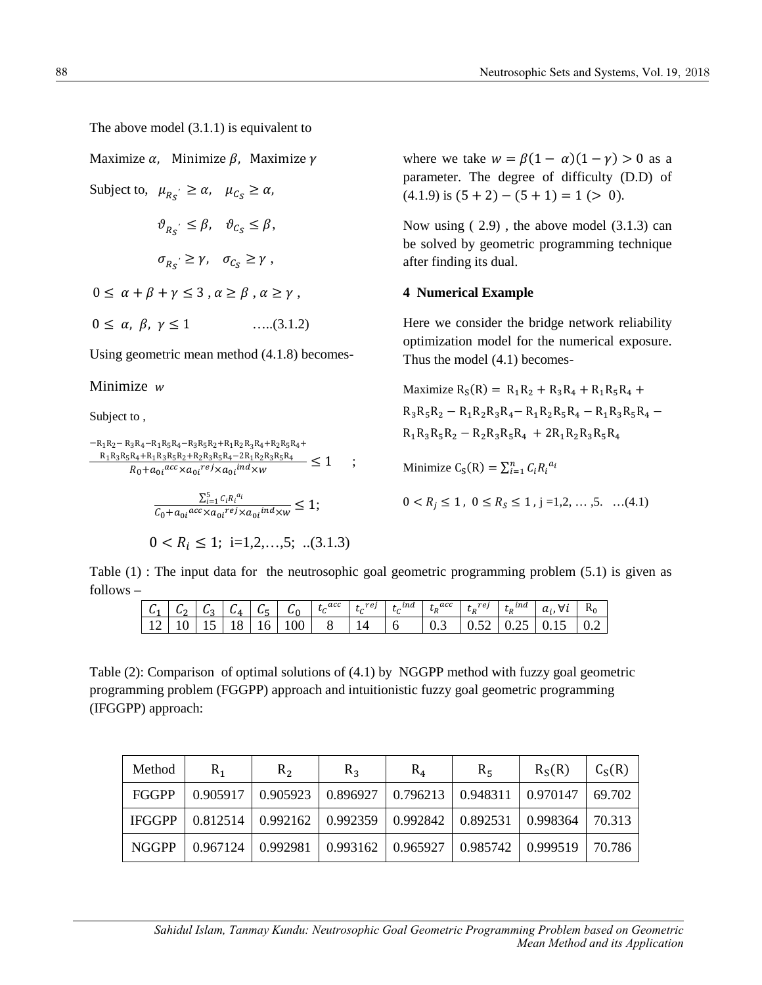The above model (3.1.1) is equivalent to

Maximize  $\alpha$ , Minimize  $\beta$ , Maximize  $\gamma$ 

Subject to,  $\mu_{R_S} \ge \alpha$ ,  $\mu_{C_S} \ge \alpha$ ,  $\vartheta_{R_S} \leq \beta, \quad \vartheta_{C_S} \leq \beta,$  $\sigma_{R_S} \ge \gamma$ ,  $\sigma_{C_S} \ge \gamma$ ,  $0 \le \alpha + \beta + \gamma \le 3$ ,  $\alpha \ge \beta$ ,  $\alpha \ge \gamma$ ,  $0 \le \alpha, \beta, \gamma \le 1$  …..(3.1.2)

Using geometric mean method (4.1.8) becomes-

Minimize  $w$ 

Subject to ,

$$
\frac{-R_1R_2-R_3R_4-R_1R_5R_4-R_3R_5R_2+R_1R_2R_3R_4+R_2R_5R_4+\\ \frac{R_1R_3R_5R_4+R_1R_3R_5R_2+R_2R_3R_5R_4-2R_1R_2R_3R_5R_4}{R_0+a_{0i}acc \times a_{0i}^{ref} \times a_{0i}^{ind} \times w} \leq 1 \quad ;
$$

$$
\frac{\sum_{i=1}^{5} c_i R_i^{a_i}}{c_0 + a_{0i} \arccos_{\lambda a_0 i} \arccos_{\lambda a_0 i} \arccos_{\lambda w}} \le 1;
$$

$$
0 < R_i \le 1; \ \mathbf{i} = 1, 2, \dots, 5; \ \dots (3.1.3)
$$

where we take  $w = \beta(1 - \alpha)(1 - \gamma) > 0$  as a parameter. The degree of difficulty (D.D) of  $(4.1.9)$  is  $(5 + 2) - (5 + 1) = 1$  (> 0).

Now using ( 2.9) , the above model (3.1.3) can be solved by geometric programming technique after finding its dual.

#### **4 Numerical Example**

Here we consider the bridge network reliability optimization model for the numerical exposure. Thus the model (4.1) becomes-

Maximize  $R_S(R) = R_1R_2 + R_3R_4 + R_1R_5R_4 +$  $R_3R_5R_2 - R_1R_2R_3R_4 - R_1R_2R_5R_4 - R_1R_3R_5R_4 R_1R_3R_5R_2 - R_2R_3R_5R_4 + 2R_1R_2R_3R_5R_4$ 

Minimize  $C_S(R) = \sum_{i=1}^n C_i R_i^{a_i}$ 

$$
0 < R_j \leq 1 \, , \; 0 \leq R_S \leq 1 \, , j =\! 1, 2, \cdots, 5. \quad \ldots (4.1)
$$

Table (1) : The input data for the neutrosophic goal geometric programming problem (5.1) is given as follows –

|  |  |  | 12 10 15 18 16 100 8 14 6 |  |  | $\vert 0.3 \vert 0.52 \vert 0.25 \vert 0.15 \vert 0.2$ |  |
|--|--|--|---------------------------|--|--|--------------------------------------------------------|--|

Table (2): Comparison of optimal solutions of (4.1) by NGGPP method with fuzzy goal geometric programming problem (FGGPP) approach and intuitionistic fuzzy goal geometric programming (IFGGPP) approach:

| Method | $R_{1}$ | R <sub>2</sub> | $R_{3}$                                                                                                              | $R_4$ | $R_{5}$ | R <sub>s</sub> (R) | $C_S(R)$ |
|--------|---------|----------------|----------------------------------------------------------------------------------------------------------------------|-------|---------|--------------------|----------|
| FGGPP  |         |                | $\mid 0.905917 \mid 0.905923 \mid 0.896927 \mid 0.796213 \mid 0.948311 \mid 0.970147 \mid$                           |       |         |                    | 69.702   |
|        |         |                | IFGGPP   0.812514   0.992162   0.992359   0.992842   0.892531   0.998364                                             |       |         |                    | 70.313   |
| NGGPP  |         |                | $\vert$ 0.967124 $\vert$ 0.992981 $\vert$ 0.993162 $\vert$ 0.965927 $\vert$ 0.985742 $\vert$ 0.999519 $\vert$ 70.786 |       |         |                    |          |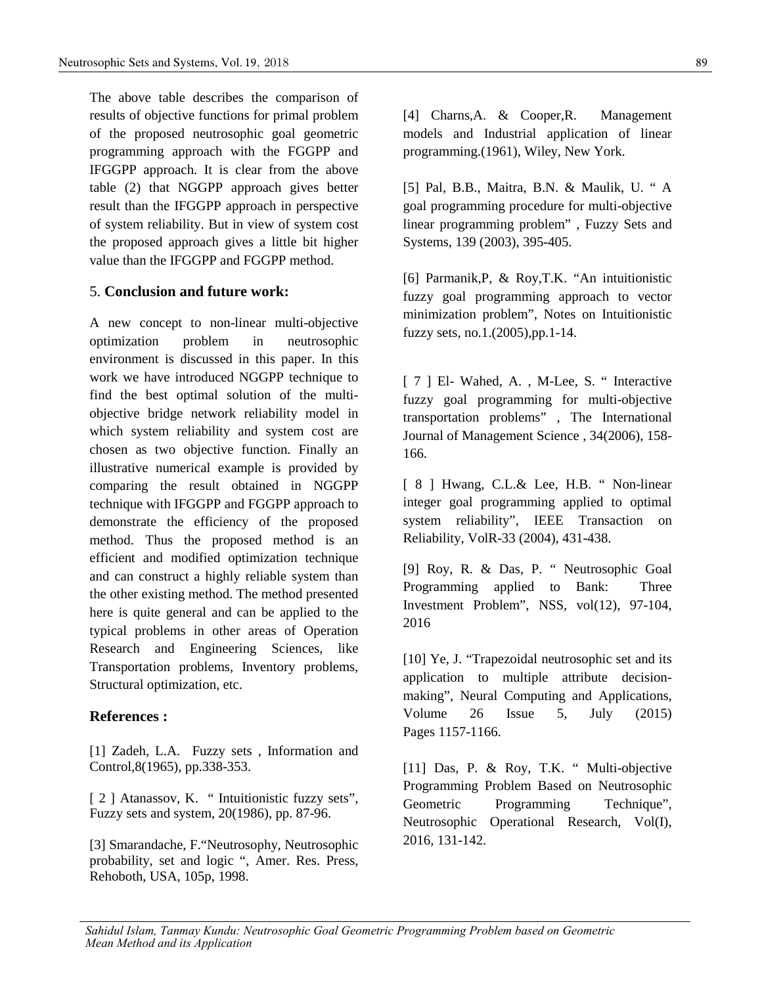The above table describes the comparison of results of objective functions for primal problem of the proposed neutrosophic goal geometric programming approach with the FGGPP and IFGGPP approach. It is clear from the above table (2) that NGGPP approach gives better result than the IFGGPP approach in perspective of system reliability. But in view of system cost the proposed approach gives a little bit higher value than the IFGGPP and FGGPP method.

## 5. **Conclusion and future work:**

A new concept to non-linear multi-objective optimization problem in neutrosophic environment is discussed in this paper. In this work we have introduced NGGPP technique to find the best optimal solution of the multiobjective bridge network reliability model in which system reliability and system cost are chosen as two objective function. Finally an illustrative numerical example is provided by comparing the result obtained in NGGPP technique with IFGGPP and FGGPP approach to demonstrate the efficiency of the proposed method. Thus the proposed method is an efficient and modified optimization technique and can construct a highly reliable system than the other existing method. The method presented here is quite general and can be applied to the typical problems in other areas of Operation Research and Engineering Sciences, like Transportation problems, Inventory problems, Structural optimization, etc.

#### **References :**

[1] Zadeh, L.A. Fuzzy sets , Information and Control,8(1965), pp.338-353.

[ 2 ] Atanassov, K. " Intuitionistic fuzzy sets", Fuzzy sets and system, 20(1986), pp. 87-96.

[3] Smarandache, F."Neutrosophy, Neutrosophic probability, set and logic ", Amer. Res. Press, Rehoboth, USA, 105p, 1998.

[4] Charns,A. & Cooper,R. Management models and Industrial application of linear programming.(1961), Wiley, New York.

[5] Pal, B.B., Maitra, B.N. & Maulik, U. " A goal programming procedure for multi-objective linear programming problem" , Fuzzy Sets and Systems, 139 (2003), 395-405.

[6] Parmanik,P, & Roy,T.K. "An intuitionistic fuzzy goal programming approach to vector minimization problem", Notes on Intuitionistic fuzzy sets, no.1.(2005),pp.1-14.

[ 7 ] El- Wahed, A., M-Lee, S. " Interactive fuzzy goal programming for multi-objective transportation problems" , The International Journal of Management Science , 34(2006), 158- 166.

[ 8 ] Hwang, C.L.& Lee, H.B. " Non-linear integer goal programming applied to optimal system reliability", IEEE Transaction on Reliability, VolR-33 (2004), 431-438.

[9] Roy, R. & Das, P. " Neutrosophic Goal Programming applied to Bank: Three Investment Problem", NSS, vol(12), 97-104, 2016

[10] Ye, J. "Trapezoidal neutrosophic set and its application to multiple attribute decisionmaking", Neural Computing and Applications, Volume 26 Issue 5, July (2015) Pages 1157-1166.

[11] Das, P. & Roy, T.K. " Multi-objective Programming Problem Based on Neutrosophic Geometric Programming Technique", Neutrosophic Operational Research, Vol(I), 2016, 131-142.

*Sahidul Islam, Tanmay Kundu: Neutrosophic Goal Geometric Programming Problem based on Geometric Mean Method and its Application*